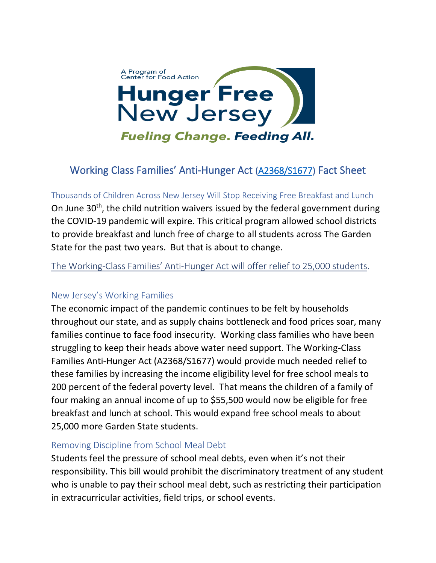

## Working Class Families' Anti-Hunger Act [\(A2368/S1677\)](https://www.njleg.state.nj.us/bill-search/2022/S1677) Fact Sheet

Thousands of Children Across New Jersey Will Stop Receiving Free Breakfast and Lunch On June  $30<sup>th</sup>$ , the child nutrition waivers issued by the federal government during the COVID-19 pandemic will expire. This critical program allowed school districts to provide breakfast and lunch free of charge to all students across The Garden State for the past two years. But that is about to change.

The Working-Class Families' Anti-Hunger Act will offer relief to 25,000 students.

## New Jersey's Working Families

The economic impact of the pandemic continues to be felt by households throughout our state, and as supply chains bottleneck and food prices soar, many families continue to face food insecurity. Working class families who have been struggling to keep their heads above water need support. The Working-Class Families Anti-Hunger Act (A2368/S1677) would provide much needed relief to these families by increasing the income eligibility level for free school meals to 200 percent of the federal poverty level. That means the children of a family of four making an annual income of up to \$55,500 would now be eligible for free breakfast and lunch at school. This would expand free school meals to about 25,000 more Garden State students.

## Removing Discipline from School Meal Debt

Students feel the pressure of school meal debts, even when it's not their responsibility. This bill would prohibit the discriminatory treatment of any student who is unable to pay their school meal debt, such as restricting their participation in extracurricular activities, field trips, or school events.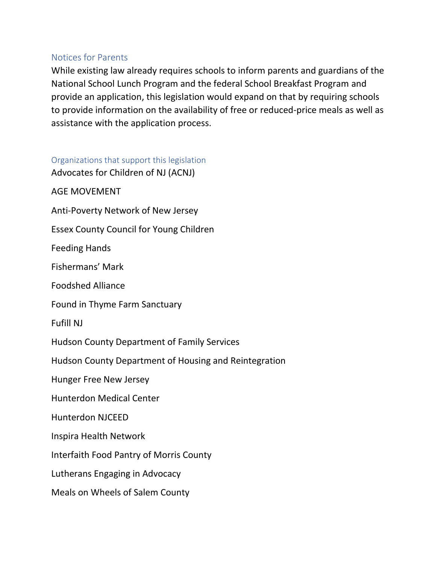## Notices for Parents

While existing law already requires schools to inform parents and guardians of the National School Lunch Program and the federal School Breakfast Program and provide an application, this legislation would expand on that by requiring schools to provide information on the availability of free or reduced-price meals as well as assistance with the application process.

Organizations that support this legislation Advocates for Children of NJ (ACNJ) AGE MOVEMENT Anti-Poverty Network of New Jersey Essex County Council for Young Children Feeding Hands Fishermans' Mark Foodshed Alliance Found in Thyme Farm Sanctuary Fufill NJ Hudson County Department of Family Services Hudson County Department of Housing and Reintegration Hunger Free New Jersey Hunterdon Medical Center Hunterdon NJCEED Inspira Health Network Interfaith Food Pantry of Morris County Lutherans Engaging in Advocacy Meals on Wheels of Salem County